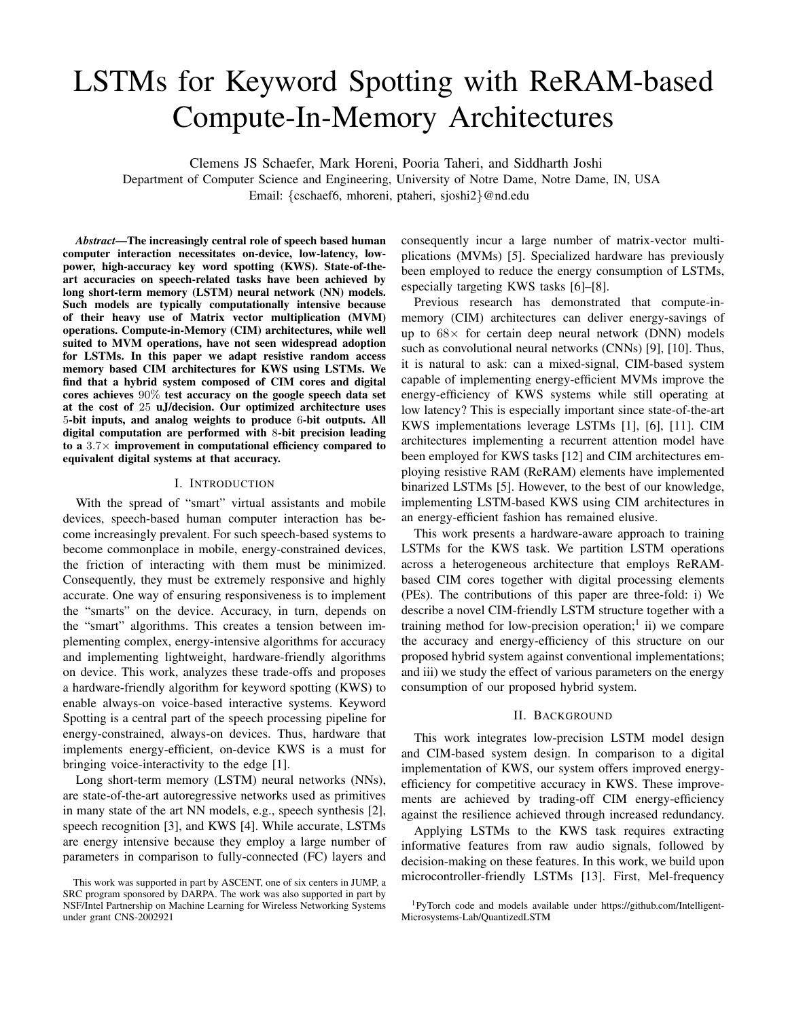# LSTMs for Keyword Spotting with ReRAM-based Compute-In-Memory Architectures

Clemens JS Schaefer, Mark Horeni, Pooria Taheri, and Siddharth Joshi

Department of Computer Science and Engineering, University of Notre Dame, Notre Dame, IN, USA Email: {cschaef6, mhoreni, ptaheri, sjoshi2}@nd.edu

*Abstract*—The increasingly central role of speech based human computer interaction necessitates on-device, low-latency, lowpower, high-accuracy key word spotting (KWS). State-of-theart accuracies on speech-related tasks have been achieved by long short-term memory (LSTM) neural network (NN) models. Such models are typically computationally intensive because of their heavy use of Matrix vector multiplication (MVM) operations. Compute-in-Memory (CIM) architectures, while well suited to MVM operations, have not seen widespread adoption for LSTMs. In this paper we adapt resistive random access memory based CIM architectures for KWS using LSTMs. We find that a hybrid system composed of CIM cores and digital cores achieves 90% test accuracy on the google speech data set at the cost of 25 uJ/decision. Our optimized architecture uses 5-bit inputs, and analog weights to produce 6-bit outputs. All digital computation are performed with 8-bit precision leading to a  $3.7\times$  improvement in computational efficiency compared to equivalent digital systems at that accuracy.

#### I. INTRODUCTION

With the spread of "smart" virtual assistants and mobile devices, speech-based human computer interaction has become increasingly prevalent. For such speech-based systems to become commonplace in mobile, energy-constrained devices, the friction of interacting with them must be minimized. Consequently, they must be extremely responsive and highly accurate. One way of ensuring responsiveness is to implement the "smarts" on the device. Accuracy, in turn, depends on the "smart" algorithms. This creates a tension between implementing complex, energy-intensive algorithms for accuracy and implementing lightweight, hardware-friendly algorithms on device. This work, analyzes these trade-offs and proposes a hardware-friendly algorithm for keyword spotting (KWS) to enable always-on voice-based interactive systems. Keyword Spotting is a central part of the speech processing pipeline for energy-constrained, always-on devices. Thus, hardware that implements energy-efficient, on-device KWS is a must for bringing voice-interactivity to the edge [1].

Long short-term memory (LSTM) neural networks (NNs), are state-of-the-art autoregressive networks used as primitives in many state of the art NN models, e.g., speech synthesis [2], speech recognition [3], and KWS [4]. While accurate, LSTMs are energy intensive because they employ a large number of parameters in comparison to fully-connected (FC) layers and

consequently incur a large number of matrix-vector multiplications (MVMs) [5]. Specialized hardware has previously been employed to reduce the energy consumption of LSTMs, especially targeting KWS tasks [6]–[8].

Previous research has demonstrated that compute-inmemory (CIM) architectures can deliver energy-savings of up to  $68\times$  for certain deep neural network (DNN) models such as convolutional neural networks (CNNs) [9], [10]. Thus, it is natural to ask: can a mixed-signal, CIM-based system capable of implementing energy-efficient MVMs improve the energy-efficiency of KWS systems while still operating at low latency? This is especially important since state-of-the-art KWS implementations leverage LSTMs [1], [6], [11]. CIM architectures implementing a recurrent attention model have been employed for KWS tasks [12] and CIM architectures employing resistive RAM (ReRAM) elements have implemented binarized LSTMs [5]. However, to the best of our knowledge, implementing LSTM-based KWS using CIM architectures in an energy-efficient fashion has remained elusive.

This work presents a hardware-aware approach to training LSTMs for the KWS task. We partition LSTM operations across a heterogeneous architecture that employs ReRAMbased CIM cores together with digital processing elements (PEs). The contributions of this paper are three-fold: i) We describe a novel CIM-friendly LSTM structure together with a training method for low-precision operation;<sup>1</sup> ii) we compare the accuracy and energy-efficiency of this structure on our proposed hybrid system against conventional implementations; and iii) we study the effect of various parameters on the energy consumption of our proposed hybrid system.

# II. BACKGROUND

This work integrates low-precision LSTM model design and CIM-based system design. In comparison to a digital implementation of KWS, our system offers improved energyefficiency for competitive accuracy in KWS. These improvements are achieved by trading-off CIM energy-efficiency against the resilience achieved through increased redundancy.

Applying LSTMs to the KWS task requires extracting informative features from raw audio signals, followed by decision-making on these features. In this work, we build upon microcontroller-friendly LSTMs [13]. First, Mel-frequency

This work was supported in part by ASCENT, one of six centers in JUMP, a SRC program sponsored by DARPA. The work was also supported in part by NSF/Intel Partnership on Machine Learning for Wireless Networking Systems under grant CNS-2002921

<sup>1</sup>PyTorch code and models available under https://github.com/Intelligent-Microsystems-Lab/QuantizedLSTM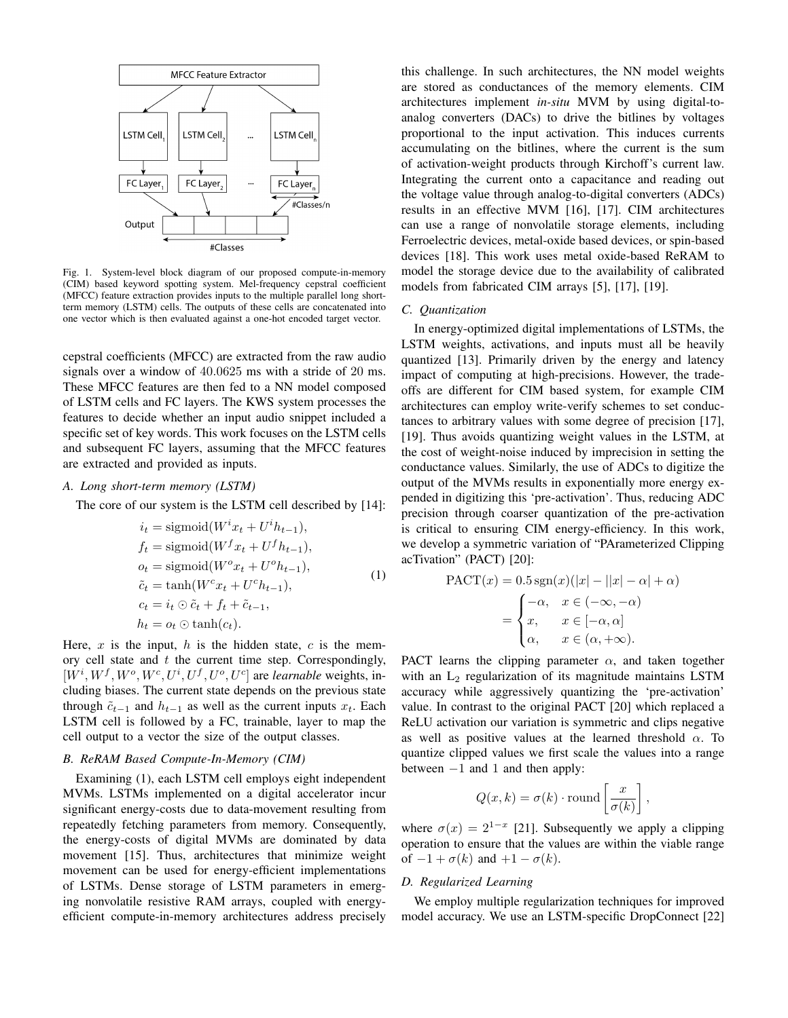

Fig. 1. System-level block diagram of our proposed compute-in-memory (CIM) based keyword spotting system. Mel-frequency cepstral coefficient (MFCC) feature extraction provides inputs to the multiple parallel long shortterm memory (LSTM) cells. The outputs of these cells are concatenated into one vector which is then evaluated against a one-hot encoded target vector.

cepstral coefficients (MFCC) are extracted from the raw audio signals over a window of 40.0625 ms with a stride of 20 ms. These MFCC features are then fed to a NN model composed of LSTM cells and FC layers. The KWS system processes the features to decide whether an input audio snippet included a specific set of key words. This work focuses on the LSTM cells and subsequent FC layers, assuming that the MFCC features are extracted and provided as inputs.

#### *A. Long short-term memory (LSTM)*

The core of our system is the LSTM cell described by [14]:

$$
i_t = \text{sigmoid}(W^i x_t + U^i h_{t-1}),
$$
  
\n
$$
f_t = \text{sigmoid}(W^f x_t + U^f h_{t-1}),
$$
  
\n
$$
o_t = \text{sigmoid}(W^o x_t + U^o h_{t-1}),
$$
  
\n
$$
\tilde{c}_t = \tanh(W^c x_t + U^c h_{t-1}),
$$
  
\n
$$
c_t = i_t \odot \tilde{c}_t + f_t + \tilde{c}_{t-1},
$$
  
\n
$$
h_t = o_t \odot \tanh(c_t).
$$
  
\n(1)

Here,  $x$  is the input,  $h$  is the hidden state,  $c$  is the memory cell state and  $t$  the current time step. Correspondingly,  $[W^i, W^f, W^o, W^c, U^i, U^f, U^o, U^c]$  are *learnable* weights, including biases. The current state depends on the previous state through  $\tilde{c}_{t-1}$  and  $h_{t-1}$  as well as the current inputs  $x_t$ . Each LSTM cell is followed by a FC, trainable, layer to map the cell output to a vector the size of the output classes.

#### *B. ReRAM Based Compute-In-Memory (CIM)*

Examining (1), each LSTM cell employs eight independent MVMs. LSTMs implemented on a digital accelerator incur significant energy-costs due to data-movement resulting from repeatedly fetching parameters from memory. Consequently, the energy-costs of digital MVMs are dominated by data movement [15]. Thus, architectures that minimize weight movement can be used for energy-efficient implementations of LSTMs. Dense storage of LSTM parameters in emerging nonvolatile resistive RAM arrays, coupled with energyefficient compute-in-memory architectures address precisely this challenge. In such architectures, the NN model weights are stored as conductances of the memory elements. CIM architectures implement *in-situ* MVM by using digital-toanalog converters (DACs) to drive the bitlines by voltages proportional to the input activation. This induces currents accumulating on the bitlines, where the current is the sum of activation-weight products through Kirchoff's current law. Integrating the current onto a capacitance and reading out the voltage value through analog-to-digital converters (ADCs) results in an effective MVM [16], [17]. CIM architectures can use a range of nonvolatile storage elements, including Ferroelectric devices, metal-oxide based devices, or spin-based devices [18]. This work uses metal oxide-based ReRAM to model the storage device due to the availability of calibrated models from fabricated CIM arrays [5], [17], [19].

# *C. Quantization*

In energy-optimized digital implementations of LSTMs, the LSTM weights, activations, and inputs must all be heavily quantized [13]. Primarily driven by the energy and latency impact of computing at high-precisions. However, the tradeoffs are different for CIM based system, for example CIM architectures can employ write-verify schemes to set conductances to arbitrary values with some degree of precision [17], [19]. Thus avoids quantizing weight values in the LSTM, at the cost of weight-noise induced by imprecision in setting the conductance values. Similarly, the use of ADCs to digitize the output of the MVMs results in exponentially more energy expended in digitizing this 'pre-activation'. Thus, reducing ADC precision through coarser quantization of the pre-activation is critical to ensuring CIM energy-efficiency. In this work, we develop a symmetric variation of "PArameterized Clipping acTivation" (PACT) [20]:

$$
\text{PACT}(x) = 0.5 \text{ sgn}(x)(|x| - ||x| - \alpha| + \alpha)
$$
\n
$$
= \begin{cases}\n-\alpha, & x \in (-\infty, -\alpha) \\
x, & x \in [-\alpha, \alpha] \\
\alpha, & x \in (\alpha, +\infty).\n\end{cases}
$$

PACT learns the clipping parameter  $\alpha$ , and taken together with an  $L_2$  regularization of its magnitude maintains LSTM accuracy while aggressively quantizing the 'pre-activation' value. In contrast to the original PACT [20] which replaced a ReLU activation our variation is symmetric and clips negative as well as positive values at the learned threshold  $\alpha$ . To quantize clipped values we first scale the values into a range between  $-1$  and 1 and then apply:

$$
Q(x,k) = \sigma(k) \cdot \text{round}\left[\frac{x}{\sigma(k)}\right],
$$

where  $\sigma(x) = 2^{1-x}$  [21]. Subsequently we apply a clipping operation to ensure that the values are within the viable range of  $-1 + \sigma(k)$  and  $+1 - \sigma(k)$ .

# *D. Regularized Learning*

We employ multiple regularization techniques for improved model accuracy. We use an LSTM-specific DropConnect [22]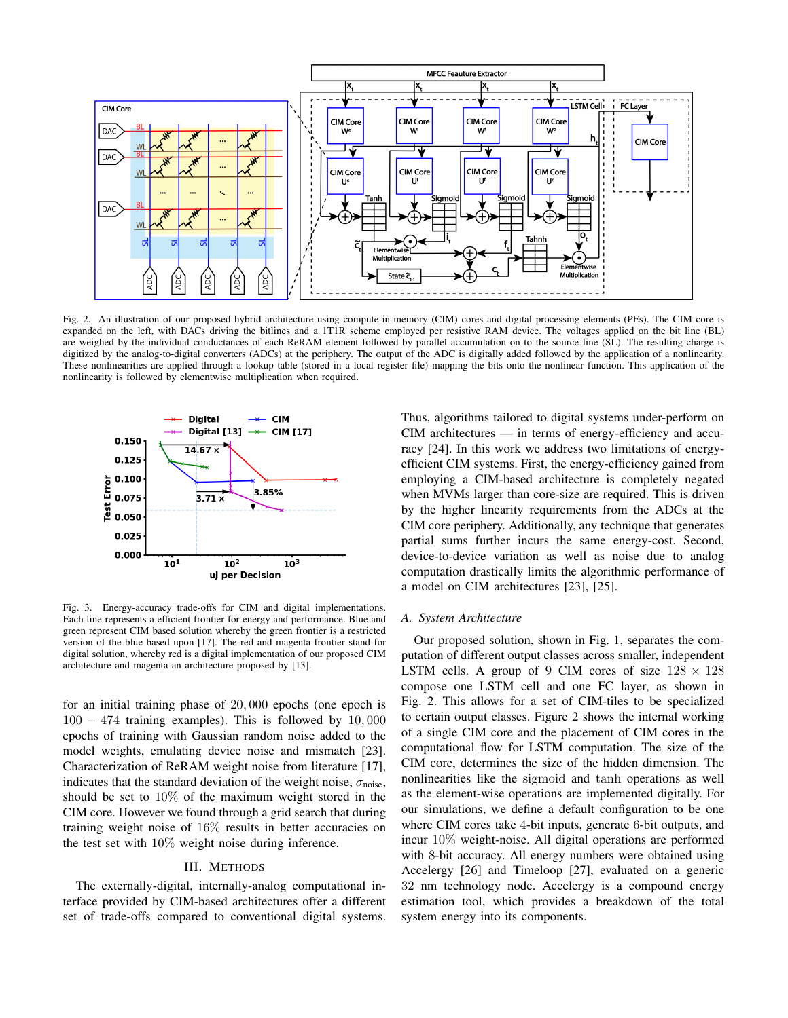

Fig. 2. An illustration of our proposed hybrid architecture using compute-in-memory (CIM) cores and digital processing elements (PEs). The CIM core is expanded on the left, with DACs driving the bitlines and a 1T1R scheme employed per resistive RAM device. The voltages applied on the bit line (BL) are weighed by the individual conductances of each ReRAM element followed by parallel accumulation on to the source line (SL). The resulting charge is digitized by the analog-to-digital converters (ADCs) at the periphery. The output of the ADC is digitally added followed by the application of a nonlinearity. These nonlinearities are applied through a lookup table (stored in a local register file) mapping the bits onto the nonlinear function. This application of the nonlinearity is followed by elementwise multiplication when required.



Fig. 3. Energy-accuracy trade-offs for CIM and digital implementations. Each line represents a efficient frontier for energy and performance. Blue and green represent CIM based solution whereby the green frontier is a restricted version of the blue based upon [17]. The red and magenta frontier stand for digital solution, whereby red is a digital implementation of our proposed CIM architecture and magenta an architecture proposed by [13].

for an initial training phase of 20, 000 epochs (one epoch is 100 − 474 training examples). This is followed by 10, 000 epochs of training with Gaussian random noise added to the model weights, emulating device noise and mismatch [23]. Characterization of ReRAM weight noise from literature [17], indicates that the standard deviation of the weight noise,  $\sigma_{noise}$ , should be set to 10% of the maximum weight stored in the CIM core. However we found through a grid search that during training weight noise of 16% results in better accuracies on the test set with 10% weight noise during inference.

#### III. METHODS

The externally-digital, internally-analog computational interface provided by CIM-based architectures offer a different set of trade-offs compared to conventional digital systems. Thus, algorithms tailored to digital systems under-perform on CIM architectures — in terms of energy-efficiency and accuracy [24]. In this work we address two limitations of energyefficient CIM systems. First, the energy-efficiency gained from employing a CIM-based architecture is completely negated when MVMs larger than core-size are required. This is driven by the higher linearity requirements from the ADCs at the CIM core periphery. Additionally, any technique that generates partial sums further incurs the same energy-cost. Second, device-to-device variation as well as noise due to analog computation drastically limits the algorithmic performance of a model on CIM architectures [23], [25].

### *A. System Architecture*

Our proposed solution, shown in Fig. 1, separates the computation of different output classes across smaller, independent LSTM cells. A group of 9 CIM cores of size  $128 \times 128$ compose one LSTM cell and one FC layer, as shown in Fig. 2. This allows for a set of CIM-tiles to be specialized to certain output classes. Figure 2 shows the internal working of a single CIM core and the placement of CIM cores in the computational flow for LSTM computation. The size of the CIM core, determines the size of the hidden dimension. The nonlinearities like the sigmoid and tanh operations as well as the element-wise operations are implemented digitally. For our simulations, we define a default configuration to be one where CIM cores take 4-bit inputs, generate 6-bit outputs, and incur 10% weight-noise. All digital operations are performed with 8-bit accuracy. All energy numbers were obtained using Accelergy [26] and Timeloop [27], evaluated on a generic 32 nm technology node. Accelergy is a compound energy estimation tool, which provides a breakdown of the total system energy into its components.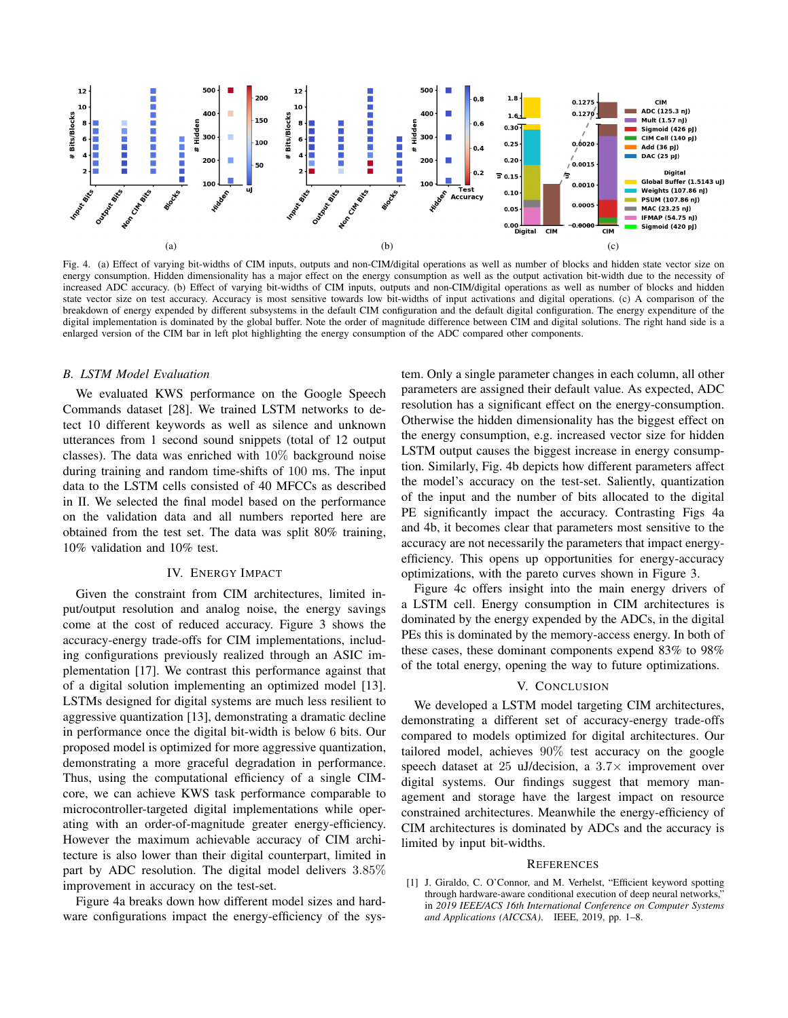

Fig. 4. (a) Effect of varying bit-widths of CIM inputs, outputs and non-CIM/digital operations as well as number of blocks and hidden state vector size on energy consumption. Hidden dimensionality has a major effect on the energy consumption as well as the output activation bit-width due to the necessity of increased ADC accuracy. (b) Effect of varying bit-widths of CIM inputs, outputs and non-CIM/digital operations as well as number of blocks and hidden state vector size on test accuracy. Accuracy is most sensitive towards low bit-widths of input activations and digital operations. (c) A comparison of the breakdown of energy expended by different subsystems in the default CIM configuration and the default digital configuration. The energy expenditure of the digital implementation is dominated by the global buffer. Note the order of magnitude difference between CIM and digital solutions. The right hand side is a enlarged version of the CIM bar in left plot highlighting the energy consumption of the ADC compared other components.

#### *B. LSTM Model Evaluation*

We evaluated KWS performance on the Google Speech Commands dataset [28]. We trained LSTM networks to detect 10 different keywords as well as silence and unknown utterances from 1 second sound snippets (total of 12 output classes). The data was enriched with 10% background noise during training and random time-shifts of 100 ms. The input data to the LSTM cells consisted of 40 MFCCs as described in II. We selected the final model based on the performance on the validation data and all numbers reported here are obtained from the test set. The data was split 80% training, 10% validation and 10% test.

# IV. ENERGY IMPACT

Given the constraint from CIM architectures, limited input/output resolution and analog noise, the energy savings come at the cost of reduced accuracy. Figure 3 shows the accuracy-energy trade-offs for CIM implementations, including configurations previously realized through an ASIC implementation [17]. We contrast this performance against that of a digital solution implementing an optimized model [13]. LSTMs designed for digital systems are much less resilient to aggressive quantization [13], demonstrating a dramatic decline in performance once the digital bit-width is below 6 bits. Our proposed model is optimized for more aggressive quantization, demonstrating a more graceful degradation in performance. Thus, using the computational efficiency of a single CIMcore, we can achieve KWS task performance comparable to microcontroller-targeted digital implementations while operating with an order-of-magnitude greater energy-efficiency. However the maximum achievable accuracy of CIM architecture is also lower than their digital counterpart, limited in part by ADC resolution. The digital model delivers 3.85% improvement in accuracy on the test-set.

Figure 4a breaks down how different model sizes and hardware configurations impact the energy-efficiency of the sys-

tem. Only a single parameter changes in each column, all other parameters are assigned their default value. As expected, ADC resolution has a significant effect on the energy-consumption. Otherwise the hidden dimensionality has the biggest effect on the energy consumption, e.g. increased vector size for hidden LSTM output causes the biggest increase in energy consumption. Similarly, Fig. 4b depicts how different parameters affect the model's accuracy on the test-set. Saliently, quantization of the input and the number of bits allocated to the digital PE significantly impact the accuracy. Contrasting Figs 4a and 4b, it becomes clear that parameters most sensitive to the accuracy are not necessarily the parameters that impact energyefficiency. This opens up opportunities for energy-accuracy optimizations, with the pareto curves shown in Figure 3.

Figure 4c offers insight into the main energy drivers of a LSTM cell. Energy consumption in CIM architectures is dominated by the energy expended by the ADCs, in the digital PEs this is dominated by the memory-access energy. In both of these cases, these dominant components expend 83% to 98% of the total energy, opening the way to future optimizations.

# V. CONCLUSION

We developed a LSTM model targeting CIM architectures, demonstrating a different set of accuracy-energy trade-offs compared to models optimized for digital architectures. Our tailored model, achieves 90% test accuracy on the google speech dataset at 25 uJ/decision, a  $3.7\times$  improvement over digital systems. Our findings suggest that memory management and storage have the largest impact on resource constrained architectures. Meanwhile the energy-efficiency of CIM architectures is dominated by ADCs and the accuracy is limited by input bit-widths.

#### **REFERENCES**

[1] J. Giraldo, C. O'Connor, and M. Verhelst, "Efficient keyword spotting through hardware-aware conditional execution of deep neural networks, in *2019 IEEE/ACS 16th International Conference on Computer Systems and Applications (AICCSA)*. IEEE, 2019, pp. 1–8.